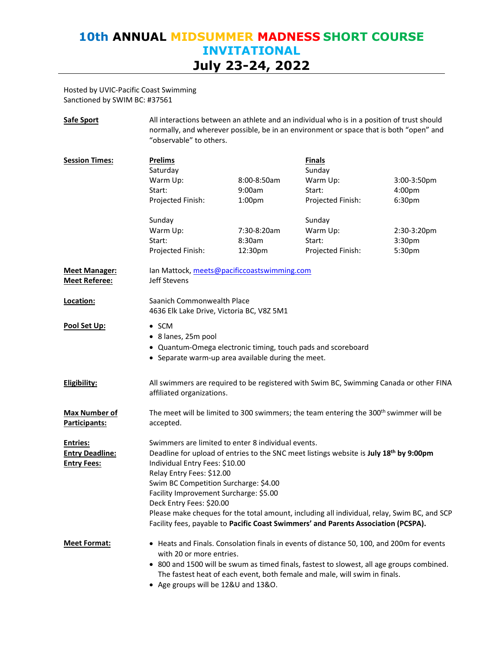Hosted by UVIC-Pacific Coast Swimming Sanctioned by SWIM BC: #37561

| <b>Safe Sport</b>                                               | All interactions between an athlete and an individual who is in a position of trust should<br>normally, and wherever possible, be in an environment or space that is both "open" and<br>"observable" to others.                                                                                                                                                                                                           |                    |                         |             |  |
|-----------------------------------------------------------------|---------------------------------------------------------------------------------------------------------------------------------------------------------------------------------------------------------------------------------------------------------------------------------------------------------------------------------------------------------------------------------------------------------------------------|--------------------|-------------------------|-------------|--|
| <b>Session Times:</b>                                           | <b>Prelims</b><br>Saturday                                                                                                                                                                                                                                                                                                                                                                                                |                    | <b>Finals</b><br>Sunday |             |  |
|                                                                 | Warm Up:                                                                                                                                                                                                                                                                                                                                                                                                                  | 8:00-8:50am        | Warm Up:                | 3:00-3:50pm |  |
|                                                                 | Start:                                                                                                                                                                                                                                                                                                                                                                                                                    | 9:00am             | Start:                  | 4:00pm      |  |
|                                                                 | Projected Finish:                                                                                                                                                                                                                                                                                                                                                                                                         | 1:00 <sub>pm</sub> | Projected Finish:       | 6:30pm      |  |
|                                                                 | Sunday                                                                                                                                                                                                                                                                                                                                                                                                                    |                    | Sunday                  |             |  |
|                                                                 | Warm Up:                                                                                                                                                                                                                                                                                                                                                                                                                  | 7:30-8:20am        | Warm Up:                | 2:30-3:20pm |  |
|                                                                 | Start:                                                                                                                                                                                                                                                                                                                                                                                                                    | 8:30am             | Start:                  | 3:30pm      |  |
|                                                                 | Projected Finish:                                                                                                                                                                                                                                                                                                                                                                                                         | 12:30pm            | Projected Finish:       | 5:30pm      |  |
| <b>Meet Manager:</b><br><b>Meet Referee:</b>                    | Ian Mattock, meets@pacificcoastswimming.com<br>Jeff Stevens                                                                                                                                                                                                                                                                                                                                                               |                    |                         |             |  |
| Location:                                                       | Saanich Commonwealth Place<br>4636 Elk Lake Drive, Victoria BC, V8Z 5M1                                                                                                                                                                                                                                                                                                                                                   |                    |                         |             |  |
| <u>Pool Set Up:</u>                                             | $\bullet$ SCM<br>• 8 lanes, 25m pool<br>• Quantum-Omega electronic timing, touch pads and scoreboard<br>• Separate warm-up area available during the meet.                                                                                                                                                                                                                                                                |                    |                         |             |  |
| Eligibility:                                                    | All swimmers are required to be registered with Swim BC, Swimming Canada or other FINA<br>affiliated organizations.                                                                                                                                                                                                                                                                                                       |                    |                         |             |  |
| <b>Max Number of</b><br>Participants:                           | The meet will be limited to 300 swimmers; the team entering the 300 <sup>th</sup> swimmer will be<br>accepted.                                                                                                                                                                                                                                                                                                            |                    |                         |             |  |
| <b>Entries:</b><br><b>Entry Deadline:</b><br><b>Entry Fees:</b> | Swimmers are limited to enter 8 individual events.<br>Deadline for upload of entries to the SNC meet listings website is July 18th by 9:00pm<br>Individual Entry Fees: \$10.00<br>Relay Entry Fees: \$12.00<br>Swim BC Competition Surcharge: \$4.00<br>Facility Improvement Surcharge: \$5.00<br>Deck Entry Fees: \$20.00<br>Please make cheques for the total amount, including all individual, relay, Swim BC, and SCP |                    |                         |             |  |
|                                                                 | Facility fees, payable to Pacific Coast Swimmers' and Parents Association (PCSPA).                                                                                                                                                                                                                                                                                                                                        |                    |                         |             |  |
| <b>Meet Format:</b>                                             | • Heats and Finals. Consolation finals in events of distance 50, 100, and 200m for events<br>with 20 or more entries.                                                                                                                                                                                                                                                                                                     |                    |                         |             |  |
|                                                                 | • 800 and 1500 will be swum as timed finals, fastest to slowest, all age groups combined.<br>The fastest heat of each event, both female and male, will swim in finals.<br>$\lambda$ go groups will bo 128.11 and 128.0                                                                                                                                                                                                   |                    |                         |             |  |

• Age groups will be 12&U and 13&O.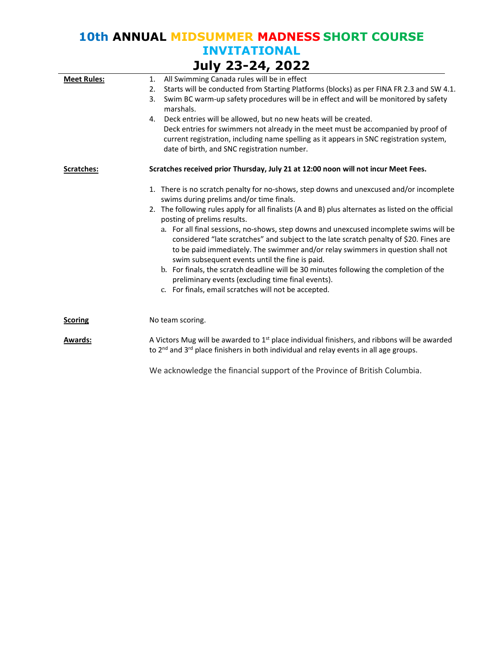| JUIY 23-24, 2022   |                                                                                                                                                                                                                                                                                                                       |  |  |  |  |
|--------------------|-----------------------------------------------------------------------------------------------------------------------------------------------------------------------------------------------------------------------------------------------------------------------------------------------------------------------|--|--|--|--|
| <b>Meet Rules:</b> | All Swimming Canada rules will be in effect<br>1.                                                                                                                                                                                                                                                                     |  |  |  |  |
|                    | Starts will be conducted from Starting Platforms (blocks) as per FINA FR 2.3 and SW 4.1.<br>2.                                                                                                                                                                                                                        |  |  |  |  |
|                    | Swim BC warm-up safety procedures will be in effect and will be monitored by safety<br>3.<br>marshals.                                                                                                                                                                                                                |  |  |  |  |
|                    | Deck entries will be allowed, but no new heats will be created.<br>4.                                                                                                                                                                                                                                                 |  |  |  |  |
|                    | Deck entries for swimmers not already in the meet must be accompanied by proof of<br>current registration, including name spelling as it appears in SNC registration system,<br>date of birth, and SNC registration number.                                                                                           |  |  |  |  |
| Scratches:         | Scratches received prior Thursday, July 21 at 12:00 noon will not incur Meet Fees.                                                                                                                                                                                                                                    |  |  |  |  |
|                    | 1. There is no scratch penalty for no-shows, step downs and unexcused and/or incomplete<br>swims during prelims and/or time finals.                                                                                                                                                                                   |  |  |  |  |
|                    | 2. The following rules apply for all finalists (A and B) plus alternates as listed on the official<br>posting of prelims results.                                                                                                                                                                                     |  |  |  |  |
|                    | a. For all final sessions, no-shows, step downs and unexcused incomplete swims will be<br>considered "late scratches" and subject to the late scratch penalty of \$20. Fines are<br>to be paid immediately. The swimmer and/or relay swimmers in question shall not<br>swim subsequent events until the fine is paid. |  |  |  |  |
|                    | b. For finals, the scratch deadline will be 30 minutes following the completion of the<br>preliminary events (excluding time final events).                                                                                                                                                                           |  |  |  |  |
|                    | c. For finals, email scratches will not be accepted.                                                                                                                                                                                                                                                                  |  |  |  |  |
| <b>Scoring</b>     | No team scoring.                                                                                                                                                                                                                                                                                                      |  |  |  |  |
| <b>Awards:</b>     | A Victors Mug will be awarded to $1st$ place individual finishers, and ribbons will be awarded<br>to 2 <sup>nd</sup> and 3 <sup>rd</sup> place finishers in both individual and relay events in all age groups.                                                                                                       |  |  |  |  |
|                    | We acknowledge the financial support of the Province of British Columbia.                                                                                                                                                                                                                                             |  |  |  |  |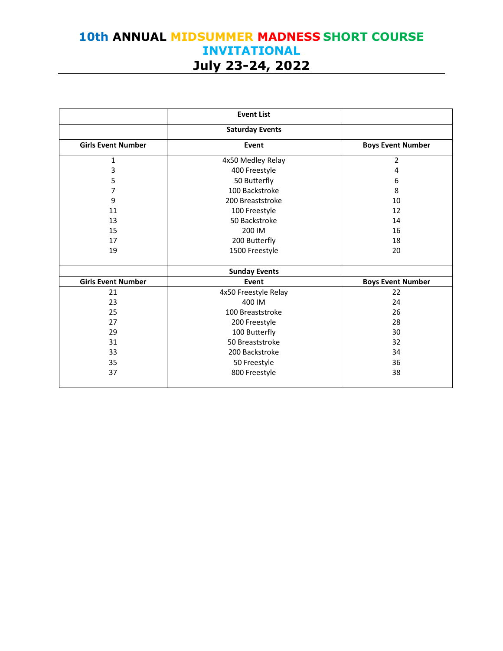|                           | <b>Event List</b>      |                          |
|---------------------------|------------------------|--------------------------|
|                           | <b>Saturday Events</b> |                          |
| <b>Girls Event Number</b> | Event                  | <b>Boys Event Number</b> |
| 1                         | 4x50 Medley Relay      | 2                        |
| 3                         | 400 Freestyle          | 4                        |
| 5                         | 50 Butterfly           | 6                        |
| 7                         | 100 Backstroke         | 8                        |
| 9                         | 200 Breaststroke       | 10                       |
| 11                        | 100 Freestyle          | 12                       |
| 13                        | 50 Backstroke          | 14                       |
| 15                        | 200 IM                 | 16                       |
| 17                        | 200 Butterfly          | 18                       |
| 19                        | 1500 Freestyle         | 20                       |
|                           | <b>Sunday Events</b>   |                          |
| <b>Girls Event Number</b> | Event                  | <b>Boys Event Number</b> |
| 21                        | 4x50 Freestyle Relay   | 22                       |
| 23                        | 400 IM                 | 24                       |
| 25                        | 100 Breaststroke       | 26                       |
| 27                        | 200 Freestyle          | 28                       |
| 29                        | 100 Butterfly          | 30                       |
| 31                        | 50 Breaststroke        | 32                       |
| 33                        | 200 Backstroke         | 34                       |
| 35                        | 50 Freestyle           | 36                       |
| 37                        | 800 Freestyle          | 38                       |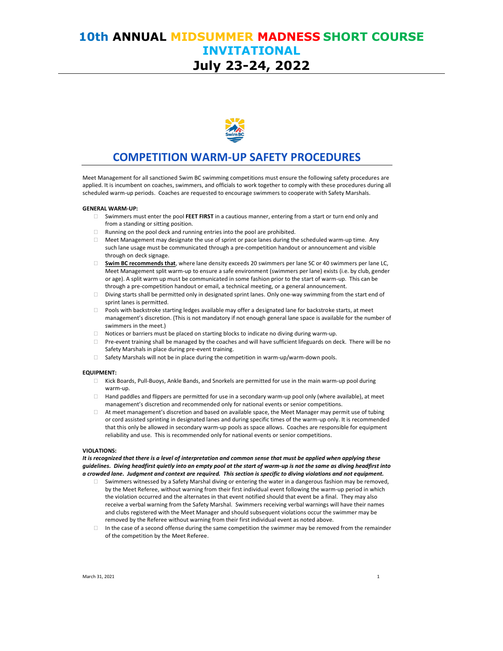

### **COMPETITION WARM-UP SAFETY PROCEDURES**

Meet Management for all sanctioned Swim BC swimming competitions must ensure the following safety procedures are applied. It is incumbent on coaches, swimmers, and officials to work together to comply with these procedures during all scheduled warm-up periods. Coaches are requested to encourage swimmers to cooperate with Safety Marshals.

#### **GENERAL WARM-UP:**

- Swimmers must enter the pool **FEET FIRST** in a cautious manner, entering from a start or turn end only and from a standing or sitting position.
- Running on the pool deck and running entries into the pool are prohibited.
- $\Box$  Meet Management may designate the use of sprint or pace lanes during the scheduled warm-up time. Any such lane usage must be communicated through a pre-competition handout or announcement and visible through on deck signage.
- **Swim BC recommends that**, where lane density exceeds 20 swimmers per lane SC or 40 swimmers per lane LC, Meet Management split warm-up to ensure a safe environment (swimmers per lane) exists (i.e. by club, gender or age). A split warm up must be communicated in some fashion prior to the start of warm-up. This can be through a pre-competition handout or email, a technical meeting, or a general announcement.
- Diving starts shall be permitted only in designated sprint lanes. Only one-way swimming from the start end of sprint lanes is permitted.
- Pools with backstroke starting ledges available may offer a designated lane for backstroke starts, at meet management's discretion. (This is not mandatory if not enough general lane space is available for the number of swimmers in the meet.)
- Notices or barriers must be placed on starting blocks to indicate no diving during warm-up.
- $\Box$  Pre-event training shall be managed by the coaches and will have sufficient lifeguards on deck. There will be no Safety Marshals in place during pre-event training.
- $\Box$  Safety Marshals will not be in place during the competition in warm-up/warm-down pools.

#### **EQUIPMENT:**

- Kick Boards, Pull-Buoys, Ankle Bands, and Snorkels are permitted for use in the main warm-up pool during warm-up.
- Hand paddles and flippers are permitted for use in a secondary warm-up pool only (where available), at meet management's discretion and recommended only for national events or senior competitions.
- At meet management's discretion and based on available space, the Meet Manager may permit use of tubing or cord assisted sprinting in designated lanes and during specific times of the warm-up only. It is recommended that this only be allowed in secondary warm-up pools as space allows. Coaches are responsible for equipment reliability and use. This is recommended only for national events or senior competitions.

#### **VIOLATIONS:**

*It is recognized that there is a level of interpretation and common sense that must be applied when applying these guidelines. Diving headfirst quietly into an empty pool at the start of warm-up is not the same as diving headfirst into a crowded lane. Judgment and context are required. This section is specific to diving violations and not equipment.*

- Swimmers witnessed by a Safety Marshal diving or entering the water in a dangerous fashion may be removed, by the Meet Referee, without warning from their first individual event following the warm-up period in which the violation occurred and the alternates in that event notified should that event be a final. They may also receive a verbal warning from the Safety Marshal. Swimmers receiving verbal warnings will have their names and clubs registered with the Meet Manager and should subsequent violations occur the swimmer may be removed by the Referee without warning from their first individual event as noted above.
- $\Box$  In the case of a second offense during the same competition the swimmer may be removed from the remainder of the competition by the Meet Referee.